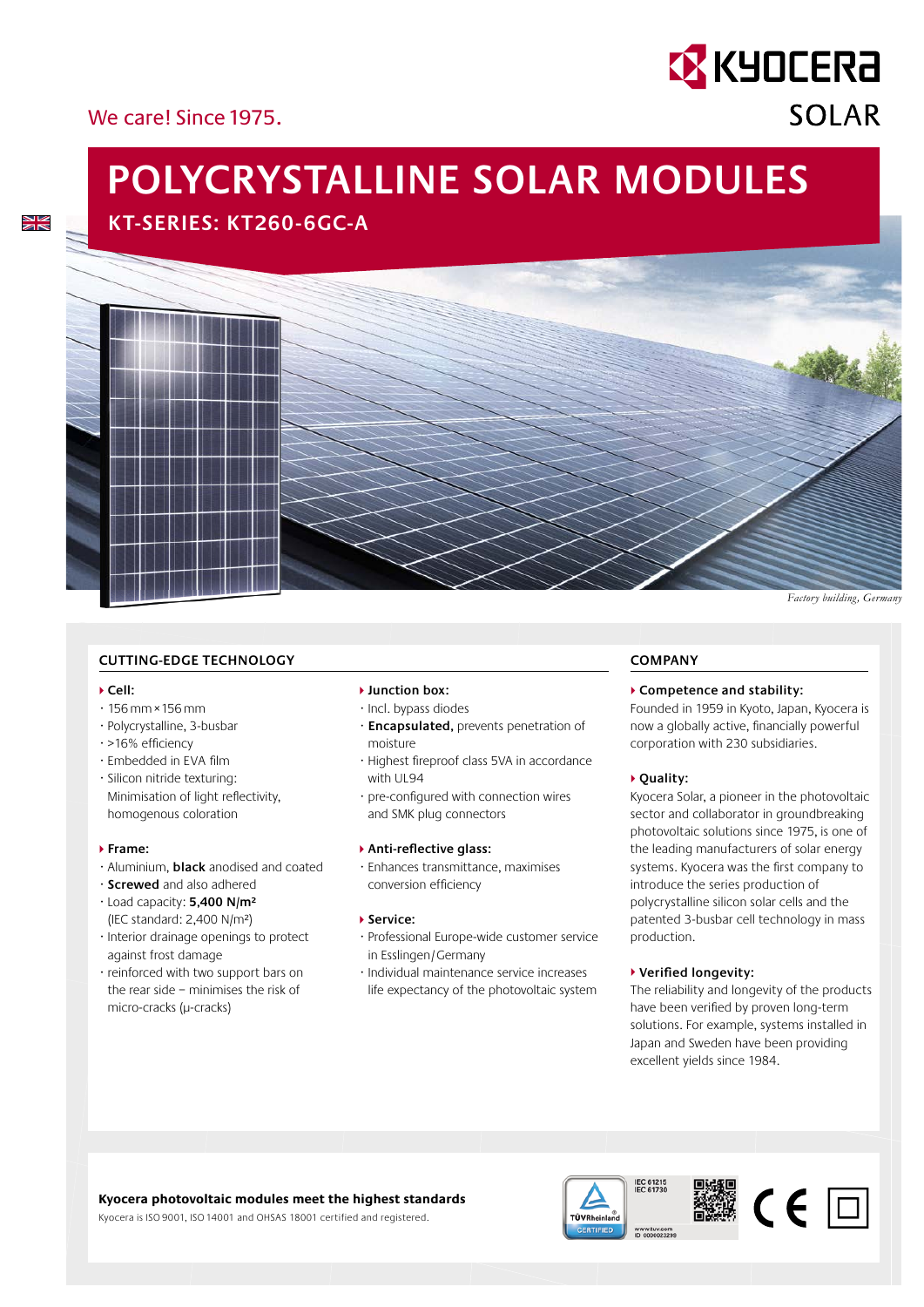## We carel Since 1975

 $\frac{\Delta V}{\Delta \mathbf{k}}$ 

# **POLYCRYSTALLINE SOLAR MODULES**

**KT-SERIES: KT260-6GC-A**



#### **CUTTING-EDGE TECHNOLOGY**

#### **Cell:**

- · 156 mm × 156 mm
- · Polycrystalline, 3-busbar
- $\cdot$  >16% efficiency
- $\cdot$  Embedded in EVA film
- · Silicon nitride texturing: Minimisation of light reflectivity, homogenous coloration

#### **Frame:**

- · Aluminium, **black** anodised and coated
- · **Screwed** and also adhered
- · Load capacity: **5,400 N/m²** (IEC standard: 2,400 N/m²)
- · Interior drainage openings to protect against frost damage
- · reinforced with two support bars on the rear side – minimises the risk of micro-cracks (µ-cracks)

#### **Junction box:**

- · Incl. bypass diodes
- · **Encapsulated,** prevents penetration of moisture
- · Highest fi reproof class 5VA in accordance with UL94
- $\cdot$  pre-configured with connection wires and SMK plug connectors

#### **Anti-reflective glass:**

· Enhances transmittance, maximises conversion efficiency

#### **▶ Service:**

- · Professional Europe-wide customer service in Esslingen / Germany
- · Individual maintenance service increases life expectancy of the photovoltaic system

#### **COMPANY**

#### **Competence and stability:**

Founded in 1959 in Kyoto, Japan, Kyocera is now a globally active, financially powerful corporation with 230 subsidiaries.

**EX KYOCERA** 

**SOLAR** 

#### **Quality:**

Kyocera Solar, a pioneer in the photovoltaic sector and collaborator in groundbreaking photovoltaic solutions since 1975, is one of the leading manufacturers of solar energy systems. Kyocera was the first company to introduce the series production of poly crystalline silicon solar cells and the patented 3-busbar cell technology in mass production.

#### **▶ Verified longevity:**

The reliability and longevity of the products have been verified by proven long-term solutions. For example, systems installed in Japan and Sweden have been providing excellent yields since 1984.

### **Kyocera photovoltaic modules meet the highest standards**

Kyocera is ISO 9001, ISO 14001 and OHSAS 18001 certified and registered.